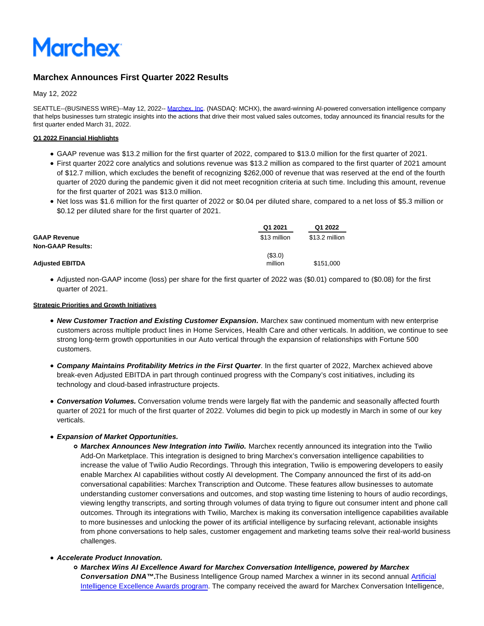

# **Marchex Announces First Quarter 2022 Results**

May 12, 2022

SEATTLE--(BUSINESS WIRE)--May 12, 2022-- [Marchex, Inc.](https://cts.businesswire.com/ct/CT?id=smartlink&url=http%3A%2F%2Fwww.marchex.com&esheet=52717608&newsitemid=20220512005839&lan=en-US&anchor=Marchex%2C+Inc&index=1&md5=e877d10feaafe1b0ed234baea6da1b4e) (NASDAQ: MCHX), the award-winning AI-powered conversation intelligence company that helps businesses turn strategic insights into the actions that drive their most valued sales outcomes, today announced its financial results for the first quarter ended March 31, 2022.

# **Q1 2022 Financial Highlights**

- GAAP revenue was \$13.2 million for the first quarter of 2022, compared to \$13.0 million for the first quarter of 2021.
- First quarter 2022 core analytics and solutions revenue was \$13.2 million as compared to the first quarter of 2021 amount of \$12.7 million, which excludes the benefit of recognizing \$262,000 of revenue that was reserved at the end of the fourth quarter of 2020 during the pandemic given it did not meet recognition criteria at such time. Including this amount, revenue for the first quarter of 2021 was \$13.0 million.
- Net loss was \$1.6 million for the first quarter of 2022 or \$0.04 per diluted share, compared to a net loss of \$5.3 million or \$0.12 per diluted share for the first quarter of 2021.

|                          | Q1 2021      | Q1 2022        |
|--------------------------|--------------|----------------|
| <b>GAAP Revenue</b>      | \$13 million | \$13.2 million |
| <b>Non-GAAP Results:</b> |              |                |
|                          | (\$3.0)      |                |
| <b>Adjusted EBITDA</b>   | million      | \$151,000      |

Adjusted non-GAAP income (loss) per share for the first quarter of 2022 was (\$0.01) compared to (\$0.08) for the first quarter of 2021.

# **Strategic Priorities and Growth Initiatives**

- **New Customer Traction and Existing Customer Expansion.** Marchex saw continued momentum with new enterprise customers across multiple product lines in Home Services, Health Care and other verticals. In addition, we continue to see strong long-term growth opportunities in our Auto vertical through the expansion of relationships with Fortune 500 customers.
- **Company Maintains Profitability Metrics in the First Quarter**. In the first quarter of 2022, Marchex achieved above break-even Adjusted EBITDA in part through continued progress with the Company's cost initiatives, including its technology and cloud-based infrastructure projects.
- **Conversation Volumes.** Conversation volume trends were largely flat with the pandemic and seasonally affected fourth quarter of 2021 for much of the first quarter of 2022. Volumes did begin to pick up modestly in March in some of our key verticals.

# **Expansion of Market Opportunities.**

**Marchex Announces New Integration into Twilio.** Marchex recently announced its integration into the Twilio Add-On Marketplace. This integration is designed to bring Marchex's conversation intelligence capabilities to increase the value of Twilio Audio Recordings. Through this integration, Twilio is empowering developers to easily enable Marchex AI capabilities without costly AI development. The Company announced the first of its add-on conversational capabilities: Marchex Transcription and Outcome. These features allow businesses to automate understanding customer conversations and outcomes, and stop wasting time listening to hours of audio recordings, viewing lengthy transcripts, and sorting through volumes of data trying to figure out consumer intent and phone call outcomes. Through its integrations with Twilio, Marchex is making its conversation intelligence capabilities available to more businesses and unlocking the power of its artificial intelligence by surfacing relevant, actionable insights from phone conversations to help sales, customer engagement and marketing teams solve their real-world business challenges.

# **Accelerate Product Innovation.**

**Marchex Wins AI Excellence Award for Marchex Conversation Intelligence, powered by Marchex Conversation DNA™.** The Business Intelligence Group named Marchex a winner in its second annual [Artificial](https://cts.businesswire.com/ct/CT?id=smartlink&url=https%3A%2F%2Fwww.bintelligence.com%2Fartificial-intelligence-excellence-awards&esheet=52717608&newsitemid=20220512005839&lan=en-US&anchor=Artificial+Intelligence+Excellence+Awards+program&index=2&md5=9cd644ec35acc9e1523d811910ac2363) Intelligence Excellence Awards program. The company received the award for Marchex Conversation Intelligence,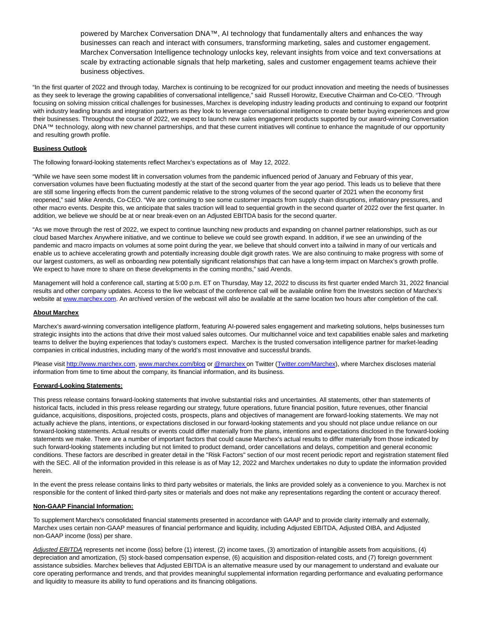powered by Marchex Conversation DNA™, AI technology that fundamentally alters and enhances the way businesses can reach and interact with consumers, transforming marketing, sales and customer engagement. Marchex Conversation Intelligence technology unlocks key, relevant insights from voice and text conversations at scale by extracting actionable signals that help marketing, sales and customer engagement teams achieve their business objectives.

"In the first quarter of 2022 and through today, Marchex is continuing to be recognized for our product innovation and meeting the needs of businesses as they seek to leverage the growing capabilities of conversational intelligence," said Russell Horowitz, Executive Chairman and Co-CEO. "Through focusing on solving mission critical challenges for businesses, Marchex is developing industry leading products and continuing to expand our footprint with industry leading brands and integration partners as they look to leverage conversational intelligence to create better buying experiences and grow their businesses. Throughout the course of 2022, we expect to launch new sales engagement products supported by our award-winning Conversation DNA™ technology, along with new channel partnerships, and that these current initiatives will continue to enhance the magnitude of our opportunity and resulting growth profile.

#### **Business Outlook**

The following forward-looking statements reflect Marchex's expectations as of May 12, 2022.

"While we have seen some modest lift in conversation volumes from the pandemic influenced period of January and February of this year, conversation volumes have been fluctuating modestly at the start of the second quarter from the year ago period. This leads us to believe that there are still some lingering effects from the current pandemic relative to the strong volumes of the second quarter of 2021 when the economy first reopened," said Mike Arends, Co-CEO. "We are continuing to see some customer impacts from supply chain disruptions, inflationary pressures, and other macro events. Despite this, we anticipate that sales traction will lead to sequential growth in the second quarter of 2022 over the first quarter. In addition, we believe we should be at or near break-even on an Adjusted EBITDA basis for the second quarter.

"As we move through the rest of 2022, we expect to continue launching new products and expanding on channel partner relationships, such as our cloud based Marchex Anywhere initiative, and we continue to believe we could see growth expand. In addition, if we see an unwinding of the pandemic and macro impacts on volumes at some point during the year, we believe that should convert into a tailwind in many of our verticals and enable us to achieve accelerating growth and potentially increasing double digit growth rates. We are also continuing to make progress with some of our largest customers, as well as onboarding new potentially significant relationships that can have a long-term impact on Marchex's growth profile. We expect to have more to share on these developments in the coming months," said Arends.

Management will hold a conference call, starting at 5:00 p.m. ET on Thursday, May 12, 2022 to discuss its first quarter ended March 31, 2022 financial results and other company updates. Access to the live webcast of the conference call will be available online from the Investors section of Marchex's website at [www.marchex.com.](https://cts.businesswire.com/ct/CT?id=smartlink&url=http%3A%2F%2Fwww.marchex.com&esheet=52717608&newsitemid=20220512005839&lan=en-US&anchor=www.marchex.com&index=3&md5=1de3e2580980165507effdfab1f52329) An archived version of the webcast will also be available at the same location two hours after completion of the call.

#### **About Marchex**

Marchex's award-winning conversation intelligence platform, featuring AI-powered sales engagement and marketing solutions, helps businesses turn strategic insights into the actions that drive their most valued sales outcomes. Our multichannel voice and text capabilities enable sales and marketing teams to deliver the buying experiences that today's customers expect. Marchex is the trusted conversation intelligence partner for market-leading companies in critical industries, including many of the world's most innovative and successful brands.

Please visi[t http://www.marchex.com,](https://cts.businesswire.com/ct/CT?id=smartlink&url=http%3A%2F%2Fwww.marchex.com%2F&esheet=52717608&newsitemid=20220512005839&lan=en-US&anchor=http%3A%2F%2Fwww.marchex.com&index=4&md5=c741be9f917c6d0aa347467b4ab95044) [www.marchex.com/blog o](https://cts.businesswire.com/ct/CT?id=smartlink&url=http%3A%2F%2Fwww.marchex.com%2Fblog&esheet=52717608&newsitemid=20220512005839&lan=en-US&anchor=www.marchex.com%2Fblog&index=5&md5=19eae88d1fd90ff0792a59737243f8d1)[r @marchex o](https://cts.businesswire.com/ct/CT?id=smartlink&url=https%3A%2F%2Ftwitter.com%2FMarchex&esheet=52717608&newsitemid=20220512005839&lan=en-US&anchor=%40marchex&index=6&md5=7eef168aee751268a9aaf726cb285c8c)n Twitter [\(Twitter.com/Marchex\)](http://twitter.com/Marchex), where Marchex discloses material information from time to time about the company, its financial information, and its business.

## **Forward-Looking Statements:**

This press release contains forward-looking statements that involve substantial risks and uncertainties. All statements, other than statements of historical facts, included in this press release regarding our strategy, future operations, future financial position, future revenues, other financial guidance, acquisitions, dispositions, projected costs, prospects, plans and objectives of management are forward-looking statements. We may not actually achieve the plans, intentions, or expectations disclosed in our forward-looking statements and you should not place undue reliance on our forward-looking statements. Actual results or events could differ materially from the plans, intentions and expectations disclosed in the forward-looking statements we make. There are a number of important factors that could cause Marchex's actual results to differ materially from those indicated by such forward-looking statements including but not limited to product demand, order cancellations and delays, competition and general economic conditions. These factors are described in greater detail in the "Risk Factors" section of our most recent periodic report and registration statement filed with the SEC. All of the information provided in this release is as of May 12, 2022 and Marchex undertakes no duty to update the information provided herein.

In the event the press release contains links to third party websites or materials, the links are provided solely as a convenience to you. Marchex is not responsible for the content of linked third-party sites or materials and does not make any representations regarding the content or accuracy thereof.

## **Non-GAAP Financial Information:**

To supplement Marchex's consolidated financial statements presented in accordance with GAAP and to provide clarity internally and externally, Marchex uses certain non-GAAP measures of financial performance and liquidity, including Adjusted EBITDA, Adjusted OIBA, and Adjusted non-GAAP income (loss) per share.

Adjusted EBITDA represents net income (loss) before (1) interest, (2) income taxes, (3) amortization of intangible assets from acquisitions, (4) depreciation and amortization, (5) stock-based compensation expense, (6) acquisition and disposition-related costs, and (7) foreign government assistance subsidies. Marchex believes that Adjusted EBITDA is an alternative measure used by our management to understand and evaluate our core operating performance and trends, and that provides meaningful supplemental information regarding performance and evaluating performance and liquidity to measure its ability to fund operations and its financing obligations.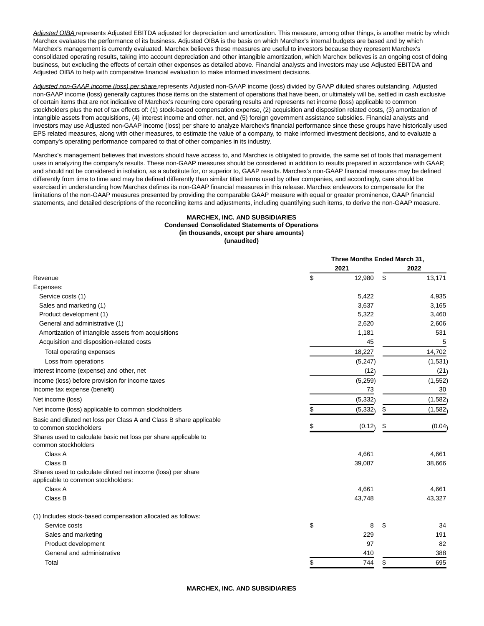Adjusted OIBA represents Adjusted EBITDA adjusted for depreciation and amortization. This measure, among other things, is another metric by which Marchex evaluates the performance of its business. Adjusted OIBA is the basis on which Marchex's internal budgets are based and by which Marchex's management is currently evaluated. Marchex believes these measures are useful to investors because they represent Marchex's consolidated operating results, taking into account depreciation and other intangible amortization, which Marchex believes is an ongoing cost of doing business, but excluding the effects of certain other expenses as detailed above. Financial analysts and investors may use Adjusted EBITDA and Adjusted OIBA to help with comparative financial evaluation to make informed investment decisions.

Adjusted non-GAAP income (loss) per share represents Adjusted non-GAAP income (loss) divided by GAAP diluted shares outstanding. Adjusted non-GAAP income (loss) generally captures those items on the statement of operations that have been, or ultimately will be, settled in cash exclusive of certain items that are not indicative of Marchex's recurring core operating results and represents net income (loss) applicable to common stockholders plus the net of tax effects of: (1) stock-based compensation expense, (2) acquisition and disposition related costs, (3) amortization of intangible assets from acquisitions, (4) interest income and other, net, and (5) foreign government assistance subsidies. Financial analysts and investors may use Adjusted non-GAAP income (loss) per share to analyze Marchex's financial performance since these groups have historically used EPS related measures, along with other measures, to estimate the value of a company, to make informed investment decisions, and to evaluate a company's operating performance compared to that of other companies in its industry.

Marchex's management believes that investors should have access to, and Marchex is obligated to provide, the same set of tools that management uses in analyzing the company's results. These non-GAAP measures should be considered in addition to results prepared in accordance with GAAP, and should not be considered in isolation, as a substitute for, or superior to, GAAP results. Marchex's non-GAAP financial measures may be defined differently from time to time and may be defined differently than similar titled terms used by other companies, and accordingly, care should be exercised in understanding how Marchex defines its non-GAAP financial measures in this release. Marchex endeavors to compensate for the limitations of the non-GAAP measures presented by providing the comparable GAAP measure with equal or greater prominence, GAAP financial statements, and detailed descriptions of the reconciling items and adjustments, including quantifying such items, to derive the non-GAAP measure.

## **MARCHEX, INC. AND SUBSIDIARIES Condensed Consolidated Statements of Operations (in thousands, except per share amounts) (unaudited)**

| 2021<br>2022<br>\$<br>12,980<br>\$<br>13,171<br>Revenue<br>Expenses:<br>Service costs (1)<br>5,422<br>4,935<br>Sales and marketing (1)<br>3,637<br>3,165<br>Product development (1)<br>5,322<br>3,460<br>General and administrative (1)<br>2,620<br>2,606<br>1,181<br>531<br>Amortization of intangible assets from acquisitions<br>Acquisition and disposition-related costs<br>45<br>5<br>18,227<br>14,702<br>Total operating expenses<br>Loss from operations<br>(5, 247)<br>Interest income (expense) and other, net<br>(12)<br>(21)<br>(5, 259)<br>Income (loss) before provision for income taxes<br>Income tax expense (benefit)<br>73<br>30<br>(5, 332)<br>(1,582)<br>\$<br>(5, 332)<br>Net income (loss) applicable to common stockholders<br>\$<br>(1,582)<br>Basic and diluted net loss per Class A and Class B share applicable<br>(0.12)<br>\$<br>S.<br>Shares used to calculate basic net loss per share applicable to<br>common stockholders<br>Class A<br>4,661<br>4,661<br>Class B<br>39,087<br>38,666<br>Shares used to calculate diluted net income (loss) per share<br>applicable to common stockholders:<br>Class A<br>4,661<br>4,661<br>Class B<br>43,327<br>43,748<br>(1) Includes stock-based compensation allocated as follows:<br>Service costs<br>\$<br>8<br>\$<br>34<br>Sales and marketing<br>229<br>191<br>97<br>82<br>Product development<br>General and administrative<br>410<br>388<br>744<br>695<br>Total<br>\$<br>\$ |                        | Three Months Ended March 31, |  |  |          |
|---------------------------------------------------------------------------------------------------------------------------------------------------------------------------------------------------------------------------------------------------------------------------------------------------------------------------------------------------------------------------------------------------------------------------------------------------------------------------------------------------------------------------------------------------------------------------------------------------------------------------------------------------------------------------------------------------------------------------------------------------------------------------------------------------------------------------------------------------------------------------------------------------------------------------------------------------------------------------------------------------------------------------------------------------------------------------------------------------------------------------------------------------------------------------------------------------------------------------------------------------------------------------------------------------------------------------------------------------------------------------------------------------------------------------------------------------------|------------------------|------------------------------|--|--|----------|
|                                                                                                                                                                                                                                                                                                                                                                                                                                                                                                                                                                                                                                                                                                                                                                                                                                                                                                                                                                                                                                                                                                                                                                                                                                                                                                                                                                                                                                                         |                        |                              |  |  |          |
|                                                                                                                                                                                                                                                                                                                                                                                                                                                                                                                                                                                                                                                                                                                                                                                                                                                                                                                                                                                                                                                                                                                                                                                                                                                                                                                                                                                                                                                         |                        |                              |  |  |          |
|                                                                                                                                                                                                                                                                                                                                                                                                                                                                                                                                                                                                                                                                                                                                                                                                                                                                                                                                                                                                                                                                                                                                                                                                                                                                                                                                                                                                                                                         |                        |                              |  |  |          |
|                                                                                                                                                                                                                                                                                                                                                                                                                                                                                                                                                                                                                                                                                                                                                                                                                                                                                                                                                                                                                                                                                                                                                                                                                                                                                                                                                                                                                                                         |                        |                              |  |  |          |
|                                                                                                                                                                                                                                                                                                                                                                                                                                                                                                                                                                                                                                                                                                                                                                                                                                                                                                                                                                                                                                                                                                                                                                                                                                                                                                                                                                                                                                                         |                        |                              |  |  |          |
|                                                                                                                                                                                                                                                                                                                                                                                                                                                                                                                                                                                                                                                                                                                                                                                                                                                                                                                                                                                                                                                                                                                                                                                                                                                                                                                                                                                                                                                         |                        |                              |  |  |          |
|                                                                                                                                                                                                                                                                                                                                                                                                                                                                                                                                                                                                                                                                                                                                                                                                                                                                                                                                                                                                                                                                                                                                                                                                                                                                                                                                                                                                                                                         |                        |                              |  |  |          |
|                                                                                                                                                                                                                                                                                                                                                                                                                                                                                                                                                                                                                                                                                                                                                                                                                                                                                                                                                                                                                                                                                                                                                                                                                                                                                                                                                                                                                                                         |                        |                              |  |  |          |
|                                                                                                                                                                                                                                                                                                                                                                                                                                                                                                                                                                                                                                                                                                                                                                                                                                                                                                                                                                                                                                                                                                                                                                                                                                                                                                                                                                                                                                                         |                        |                              |  |  |          |
|                                                                                                                                                                                                                                                                                                                                                                                                                                                                                                                                                                                                                                                                                                                                                                                                                                                                                                                                                                                                                                                                                                                                                                                                                                                                                                                                                                                                                                                         |                        |                              |  |  |          |
|                                                                                                                                                                                                                                                                                                                                                                                                                                                                                                                                                                                                                                                                                                                                                                                                                                                                                                                                                                                                                                                                                                                                                                                                                                                                                                                                                                                                                                                         |                        |                              |  |  | (1,531)  |
|                                                                                                                                                                                                                                                                                                                                                                                                                                                                                                                                                                                                                                                                                                                                                                                                                                                                                                                                                                                                                                                                                                                                                                                                                                                                                                                                                                                                                                                         |                        |                              |  |  |          |
|                                                                                                                                                                                                                                                                                                                                                                                                                                                                                                                                                                                                                                                                                                                                                                                                                                                                                                                                                                                                                                                                                                                                                                                                                                                                                                                                                                                                                                                         |                        |                              |  |  | (1, 552) |
|                                                                                                                                                                                                                                                                                                                                                                                                                                                                                                                                                                                                                                                                                                                                                                                                                                                                                                                                                                                                                                                                                                                                                                                                                                                                                                                                                                                                                                                         |                        |                              |  |  |          |
|                                                                                                                                                                                                                                                                                                                                                                                                                                                                                                                                                                                                                                                                                                                                                                                                                                                                                                                                                                                                                                                                                                                                                                                                                                                                                                                                                                                                                                                         | Net income (loss)      |                              |  |  |          |
|                                                                                                                                                                                                                                                                                                                                                                                                                                                                                                                                                                                                                                                                                                                                                                                                                                                                                                                                                                                                                                                                                                                                                                                                                                                                                                                                                                                                                                                         |                        |                              |  |  |          |
|                                                                                                                                                                                                                                                                                                                                                                                                                                                                                                                                                                                                                                                                                                                                                                                                                                                                                                                                                                                                                                                                                                                                                                                                                                                                                                                                                                                                                                                         | to common stockholders |                              |  |  | (0.04)   |
|                                                                                                                                                                                                                                                                                                                                                                                                                                                                                                                                                                                                                                                                                                                                                                                                                                                                                                                                                                                                                                                                                                                                                                                                                                                                                                                                                                                                                                                         |                        |                              |  |  |          |
|                                                                                                                                                                                                                                                                                                                                                                                                                                                                                                                                                                                                                                                                                                                                                                                                                                                                                                                                                                                                                                                                                                                                                                                                                                                                                                                                                                                                                                                         |                        |                              |  |  |          |
|                                                                                                                                                                                                                                                                                                                                                                                                                                                                                                                                                                                                                                                                                                                                                                                                                                                                                                                                                                                                                                                                                                                                                                                                                                                                                                                                                                                                                                                         |                        |                              |  |  |          |
|                                                                                                                                                                                                                                                                                                                                                                                                                                                                                                                                                                                                                                                                                                                                                                                                                                                                                                                                                                                                                                                                                                                                                                                                                                                                                                                                                                                                                                                         |                        |                              |  |  |          |
|                                                                                                                                                                                                                                                                                                                                                                                                                                                                                                                                                                                                                                                                                                                                                                                                                                                                                                                                                                                                                                                                                                                                                                                                                                                                                                                                                                                                                                                         |                        |                              |  |  |          |
|                                                                                                                                                                                                                                                                                                                                                                                                                                                                                                                                                                                                                                                                                                                                                                                                                                                                                                                                                                                                                                                                                                                                                                                                                                                                                                                                                                                                                                                         |                        |                              |  |  |          |
|                                                                                                                                                                                                                                                                                                                                                                                                                                                                                                                                                                                                                                                                                                                                                                                                                                                                                                                                                                                                                                                                                                                                                                                                                                                                                                                                                                                                                                                         |                        |                              |  |  |          |
|                                                                                                                                                                                                                                                                                                                                                                                                                                                                                                                                                                                                                                                                                                                                                                                                                                                                                                                                                                                                                                                                                                                                                                                                                                                                                                                                                                                                                                                         |                        |                              |  |  |          |
|                                                                                                                                                                                                                                                                                                                                                                                                                                                                                                                                                                                                                                                                                                                                                                                                                                                                                                                                                                                                                                                                                                                                                                                                                                                                                                                                                                                                                                                         |                        |                              |  |  |          |
|                                                                                                                                                                                                                                                                                                                                                                                                                                                                                                                                                                                                                                                                                                                                                                                                                                                                                                                                                                                                                                                                                                                                                                                                                                                                                                                                                                                                                                                         |                        |                              |  |  |          |
|                                                                                                                                                                                                                                                                                                                                                                                                                                                                                                                                                                                                                                                                                                                                                                                                                                                                                                                                                                                                                                                                                                                                                                                                                                                                                                                                                                                                                                                         |                        |                              |  |  |          |
|                                                                                                                                                                                                                                                                                                                                                                                                                                                                                                                                                                                                                                                                                                                                                                                                                                                                                                                                                                                                                                                                                                                                                                                                                                                                                                                                                                                                                                                         |                        |                              |  |  |          |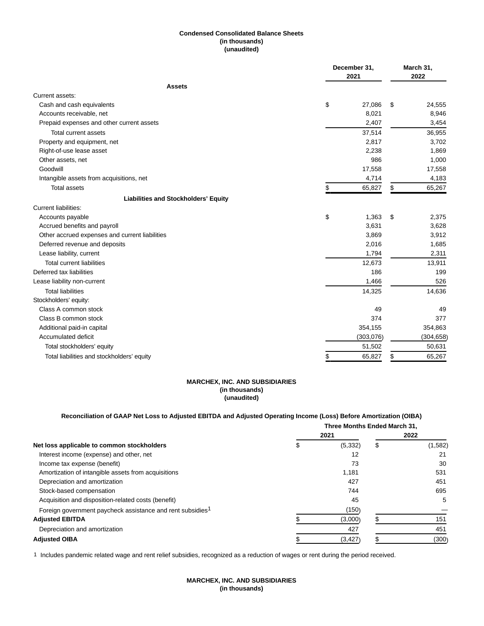### **Condensed Consolidated Balance Sheets (in thousands) (unaudited)**

|                                                | December 31, | March 31,    |  |
|------------------------------------------------|--------------|--------------|--|
|                                                | 2021         | 2022         |  |
| <b>Assets</b>                                  |              |              |  |
| Current assets:                                |              |              |  |
| Cash and cash equivalents                      | \$<br>27,086 | \$<br>24,555 |  |
| Accounts receivable, net                       | 8,021        | 8,946        |  |
| Prepaid expenses and other current assets      | 2,407        | 3,454        |  |
| <b>Total current assets</b>                    | 37,514       | 36,955       |  |
| Property and equipment, net                    | 2,817        | 3,702        |  |
| Right-of-use lease asset                       | 2,238        | 1,869        |  |
| Other assets, net                              | 986          | 1,000        |  |
| Goodwill                                       | 17,558       | 17,558       |  |
| Intangible assets from acquisitions, net       | 4,714        | 4,183        |  |
| <b>Total assets</b>                            | 65,827       | \$<br>65,267 |  |
| <b>Liabilities and Stockholders' Equity</b>    |              |              |  |
| <b>Current liabilities:</b>                    |              |              |  |
| Accounts payable                               | \$<br>1,363  | \$<br>2,375  |  |
| Accrued benefits and payroll                   | 3,631        | 3,628        |  |
| Other accrued expenses and current liabilities | 3,869        | 3,912        |  |
| Deferred revenue and deposits                  | 2,016        | 1,685        |  |
| Lease liability, current                       | 1,794        | 2,311        |  |
| <b>Total current liabilities</b>               | 12,673       | 13,911       |  |
| Deferred tax liabilities                       | 186          | 199          |  |
| Lease liability non-current                    | 1,466        | 526          |  |
| <b>Total liabilities</b>                       | 14,325       | 14,636       |  |
| Stockholders' equity:                          |              |              |  |
| Class A common stock                           | 49           | 49           |  |
| Class B common stock                           | 374          | 377          |  |
| Additional paid-in capital                     | 354,155      | 354,863      |  |
| Accumulated deficit                            | (303,076)    | (304, 658)   |  |
| Total stockholders' equity                     | 51,502       | 50,631       |  |
| Total liabilities and stockholders' equity     | 65,827<br>\$ | 65,267       |  |
|                                                |              |              |  |

### **MARCHEX, INC. AND SUBSIDIARIES (in thousands) (unaudited)**

#### **Reconciliation of GAAP Net Loss to Adjusted EBITDA and Adjusted Operating Income (Loss) Before Amortization (OIBA) Three Months Ended March 31,**

|                                                                        | <b>THE PROTITIES</b> ENGLISHED MAIL OF A |          |    |         |  |
|------------------------------------------------------------------------|------------------------------------------|----------|----|---------|--|
|                                                                        |                                          | 2021     |    | 2022    |  |
| Net loss applicable to common stockholders                             |                                          | (5,332)  | \$ | (1,582) |  |
| Interest income (expense) and other, net                               |                                          | 12       |    | 21      |  |
| Income tax expense (benefit)                                           |                                          | 73       |    | 30      |  |
| Amortization of intangible assets from acquisitions                    |                                          | 1.181    |    | 531     |  |
| Depreciation and amortization                                          |                                          | 427      |    | 451     |  |
| Stock-based compensation                                               |                                          | 744      |    | 695     |  |
| Acquisition and disposition-related costs (benefit)                    |                                          | 45       |    | 5       |  |
| Foreign government paycheck assistance and rent subsidies <sup>1</sup> |                                          | (150)    |    |         |  |
| <b>Adjusted EBITDA</b>                                                 |                                          | (3,000)  |    | 151     |  |
| Depreciation and amortization                                          |                                          | 427      |    | 451     |  |
| <b>Adjusted OIBA</b>                                                   |                                          | (3, 427) |    | (300)   |  |

1 Includes pandemic related wage and rent relief subsidies, recognized as a reduction of wages or rent during the period received.

**MARCHEX, INC. AND SUBSIDIARIES (in thousands)**